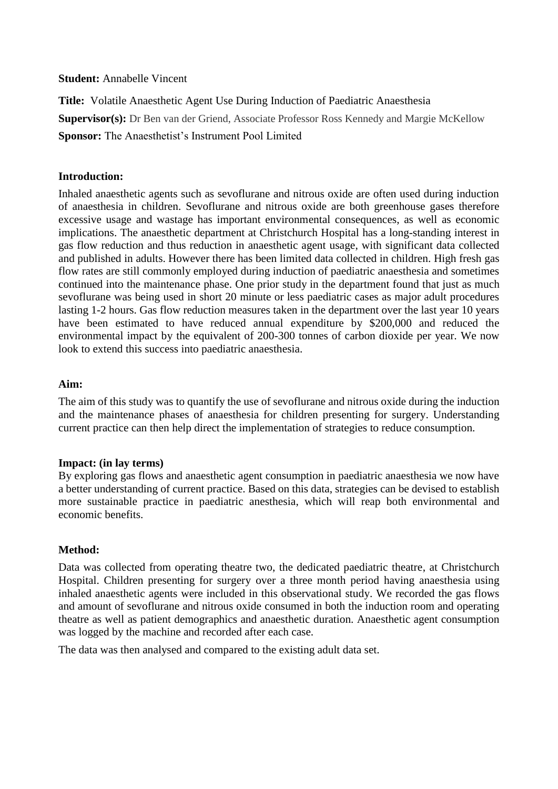**Student:** Annabelle Vincent

**Title:** Volatile Anaesthetic Agent Use During Induction of Paediatric Anaesthesia **Supervisor(s):** Dr Ben van der Griend, Associate Professor Ross Kennedy and Margie McKellow **Sponsor:** The Anaesthetist's Instrument Pool Limited

## **Introduction:**

Inhaled anaesthetic agents such as sevoflurane and nitrous oxide are often used during induction of anaesthesia in children. Sevoflurane and nitrous oxide are both greenhouse gases therefore excessive usage and wastage has important environmental consequences, as well as economic implications. The anaesthetic department at Christchurch Hospital has a long-standing interest in gas flow reduction and thus reduction in anaesthetic agent usage, with significant data collected and published in adults. However there has been limited data collected in children. High fresh gas flow rates are still commonly employed during induction of paediatric anaesthesia and sometimes continued into the maintenance phase. One prior study in the department found that just as much sevoflurane was being used in short 20 minute or less paediatric cases as major adult procedures lasting 1-2 hours. Gas flow reduction measures taken in the department over the last year 10 years have been estimated to have reduced annual expenditure by \$200,000 and reduced the environmental impact by the equivalent of 200-300 tonnes of carbon dioxide per year. We now look to extend this success into paediatric anaesthesia.

## **Aim:**

The aim of this study was to quantify the use of sevoflurane and nitrous oxide during the induction and the maintenance phases of anaesthesia for children presenting for surgery. Understanding current practice can then help direct the implementation of strategies to reduce consumption.

#### **Impact: (in lay terms)**

By exploring gas flows and anaesthetic agent consumption in paediatric anaesthesia we now have a better understanding of current practice. Based on this data, strategies can be devised to establish more sustainable practice in paediatric anesthesia, which will reap both environmental and economic benefits.

#### **Method:**

Data was collected from operating theatre two, the dedicated paediatric theatre, at Christchurch Hospital. Children presenting for surgery over a three month period having anaesthesia using inhaled anaesthetic agents were included in this observational study. We recorded the gas flows and amount of sevoflurane and nitrous oxide consumed in both the induction room and operating theatre as well as patient demographics and anaesthetic duration. Anaesthetic agent consumption was logged by the machine and recorded after each case.

The data was then analysed and compared to the existing adult data set.